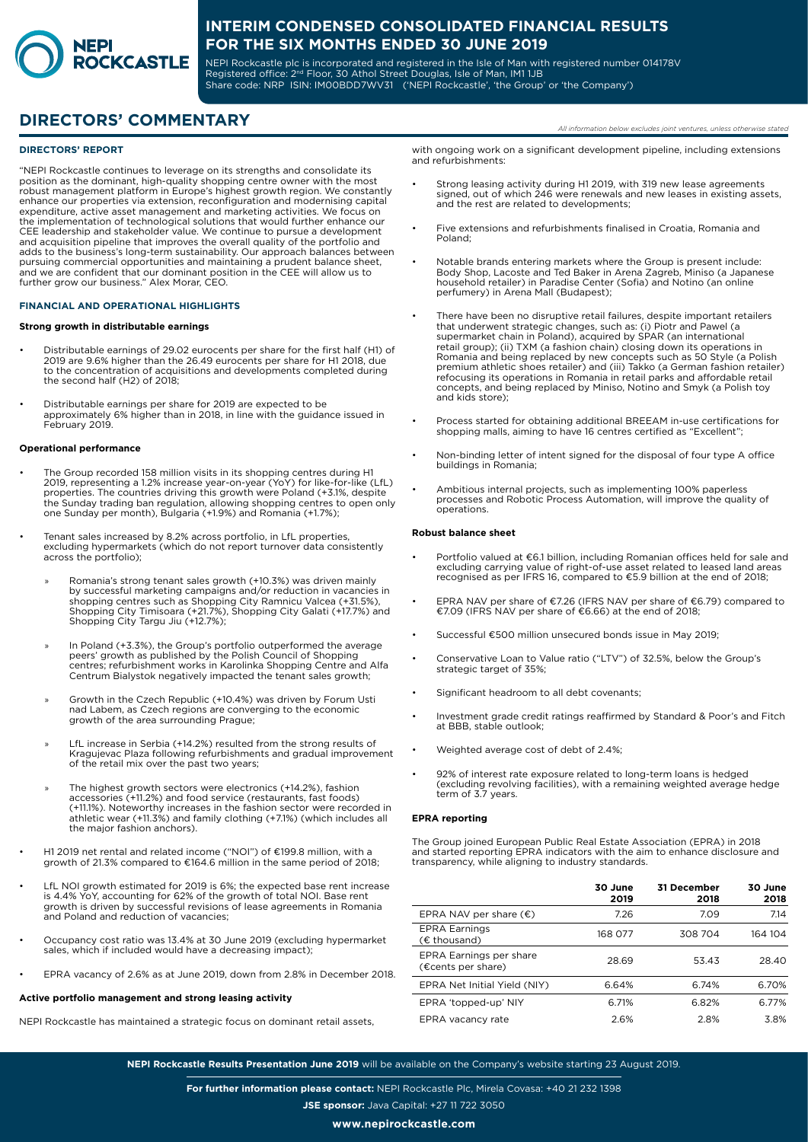

NEPI Rockcastle plc is incorporated and registered in the Isle of Man with registered number 014178V Registered office: 2<sup>nd</sup> Floor, 30 Athol Street Douglas, Isle of Man, IM1 1JB Share code: NRP ISIN: IM00BDD7WV31 ('NEPI Rockcastle', 'the Group' or 'the Company')

# **DIRECTORS' COMMENTARY** *All information below excludes joint ventures, unless otherwise stated*

### **DIRECTORS' REPORT**

"NEPI Rockcastle continues to leverage on its strengths and consolidate its position as the dominant, high-quality shopping centre owner with the most robust management platform in Europe's highest growth region. We constantly enhance our properties via extension, reconfiguration and modernising capital expenditure, active asset management and marketing activities. We focus on the implementation of technological solutions that would further enhance our CEE leadership and stakeholder value. We continue to pursue a development and acquisition pipeline that improves the overall quality of the portfolio and adds to the business's long-term sustainability. Our approach balances between pursuing commercial opportunities and maintaining a prudent balance sheet, and we are confident that our dominant position in the CEE will allow us to further grow our business." Alex Morar, CEO.

### **FINANCIAL AND OPERATIONAL HIGHLIGHTS**

#### **Strong growth in distributable earnings**

- Distributable earnings of 29.02 eurocents per share for the first half (H1) of 2019 are 9.6% higher than the 26.49 eurocents per share for H1 2018, due to the concentration of acquisitions and developments completed during the second half (H2) of 2018;
- Distributable earnings per share for 2019 are expected to be approximately 6% higher than in 2018, in line with the guidance issued in February 2019.

#### **Operational performance**

- The Group recorded 158 million visits in its shopping centres during H1<br>2019, representing a 1.2% increase year-on-year (YoY) for like-for-like (LfL)<br>properties. The countries driving this growth were Poland (+3.1%, desp one Sunday per month), Bulgaria (+1.9%) and Romania (+1.7%);
- Tenant sales increased by 8.2% across portfolio, in LfL properties, excluding hypermarkets (which do not report turnover data consistently across the portfolio);
	- » Romania's strong tenant sales growth (+10.3%) was driven mainly by successful marketing campaigns and/or reduction in vacancies in shopping centres such as Shopping City Ramnicu Valcea (+31.5%), Shopping City Timisoara (+21.7%), Shopping City Galati (+17.7%) and Shopping City Targu Jiu (+12.7%);
	- » In Poland (+3.3%), the Group's portfolio outperformed the average peers' growth as published by the Polish Council of Shopping centres; refurbishment works in Karolinka Shopping Centre and Alfa Centrum Bialystok negatively impacted the tenant sales growth;
	- » Growth in the Czech Republic (+10.4%) was driven by Forum Usti nad Labem, as Czech regions are converging to the economic growth of the area surrounding Prague;
	- » LfL increase in Serbia (+14.2%) resulted from the strong results of Kragujevac Plaza following refurbishments and gradual improvement of the retail mix over the past two years;
	- The highest growth sectors were electronics (+14.2%), fashion accessories (+11.2%) and food service (restaurants, fast foods) (+11.1%). Noteworthy increases in the fashion sector were recorded in athletic wear (+11.3%) and family clothing (+7.1%) (which includes all the major fashion anchors).
- H1 2019 net rental and related income ("NOI") of €199.8 million, with a growth of 21.3% compared to €164.6 million in the same period of 2018;
- LfL NOI growth estimated for 2019 is 6%; the expected base rent increase is 4.4% YoY, accounting for 62% of the growth of total NOI. Base rent growth is driven by successful revisions of lease agreements in Romania and Poland and reduction of vacancies;
- Occupancy cost ratio was 13.4% at 30 June 2019 (excluding hypermarket sales, which if included would have a decreasing impact);
- EPRA vacancy of 2.6% as at June 2019, down from 2.8% in December 2018.

## **Active portfolio management and strong leasing activity**

NEPI Rockcastle has maintained a strategic focus on dominant retail assets,

with ongoing work on a significant development pipeline, including extensions and refurbishments:

- Strong leasing activity during H1 2019, with 319 new lease agreements signed, out of which 246 were renewals and new leases in existing assets, and the rest are related to developments;
- Five extensions and refurbishments finalised in Croatia, Romania and Poland;
- Notable brands entering markets where the Group is present include: Body Shop, Lacoste and Ted Baker in Arena Zagreb, Miniso (a Japanese household retailer) in Paradise Center (Sofia) and Notino (an online perfumery) in Arena Mall (Budapest);
- There have been no disruptive retail failures, despite important retailers that underwent strategic changes, such as: (i) Piotr and Pawel (a supermarket chain in Poland), acquired by SPAR (an international retail group); (ii) TXM (a fashion chain) closing down its operations in Romania and being replaced by new concepts such as 50 Style (a Polish premium athletic shoes retailer) and (iii) Takko (a German fashion retailer) refocusing its operations in Romania in retail parks and affordable retail concepts, and being replaced by Miniso, Notino and Smyk (a Polish toy and kids store);
- Process started for obtaining additional BREEAM in-use certifications for shopping malls, aiming to have 16 centres certified as "Excellent";
- Non-binding letter of intent signed for the disposal of four type A office buildings in Romania;
- Ambitious internal projects, such as implementing 100% paperless processes and Robotic Process Automation, will improve the quality of operations.

### **Robust balance sheet**

- Portfolio valued at €6.1 billion, including Romanian offices held for sale and excluding carrying value of right-of-use asset related to leased land areas recognised as per IFRS 16, compared to €5.9 billion at the end of 2018;
- EPRA NAV per share of €7.26 (IFRS NAV per share of €6.79) compared to €7.09 (IFRS NAV per share of €6.66) at the end of 2018;
- Successful €500 million unsecured bonds issue in May 2019;
- Conservative Loan to Value ratio ("LTV") of 32.5%, below the Group's strategic target of 35%;
- Significant headroom to all debt covenants:
- Investment grade credit ratings reaffirmed by Standard & Poor's and Fitch at BBB, stable outlook;
- Weighted average cost of debt of 2.4%;
- 92% of interest rate exposure related to long-term loans is hedged (excluding revolving facilities), with a remaining weighted average hedge term of 3.7 years.

#### **EPRA reporting**

The Group joined European Public Real Estate Association (EPRA) in 2018 and started reporting EPRA indicators with the aim to enhance disclosure and transparency, while aligning to industry standards.

|                                               | 30 June<br>2019 | <b>31 December</b><br>2018 | 30 June<br>2018 |
|-----------------------------------------------|-----------------|----------------------------|-----------------|
| EPRA NAV per share $(\epsilon)$               | 7.26            | 7.09                       | 7.14            |
| <b>EPRA Earnings</b><br>$(E$ thousand)        | 168 077         | 308 704                    | 164 104         |
| EPRA Earnings per share<br>(€cents per share) | 28.69           | 53.43                      | 28.40           |
| EPRA Net Initial Yield (NIY)                  | 6.64%           | 6.74%                      | 6.70%           |
| EPRA 'topped-up' NIY                          | 6.71%           | 6.82%                      | 6.77%           |
| EPRA vacancy rate                             | 2.6%            | 28%                        | 38%             |

**NEPI Rockcastle Results Presentation June 2019** will be available on the Company's website starting 23 August 2019.

**For further information please contact:** NEPI Rockcastle Plc, Mirela Covasa: +40 21 232 1398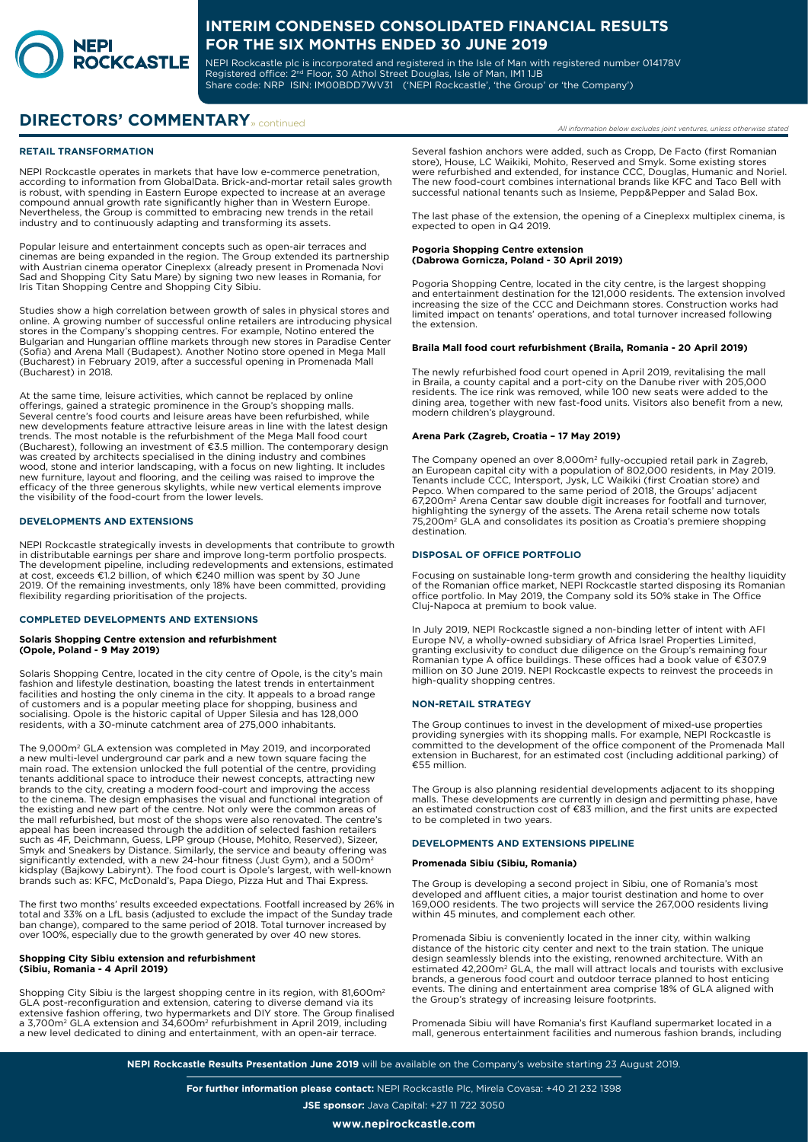

NEPI Rockcastle plc is incorporated and registered in the Isle of Man with registered number 014178V Registered office: 2<sup>nd</sup> Floor, 30 Athol Street Douglas, Isle of Man, IM1 1JB Share code: NRP ISIN: IM00BDD7WV31 ('NEPI Rockcastle', 'the Group' or 'the Company')

# **DIRECTORS' COMMENTARY** » continued

### **RETAIL TRANSFORMATION**

NEPI Rockcastle operates in markets that have low e-commerce penetration, according to information from GlobalData. Brick-and-mortar retail sales growth is robust, with spending in Eastern Europe expected to increase at an average compound annual growth rate significantly higher than in Western Europe. Nevertheless, the Group is committed to embracing new trends in the retail industry and to continuously adapting and transforming its assets.

Popular leisure and entertainment concepts such as open-air terraces and cinemas are being expanded in the region. The Group extended its partnership with Austrian cinema operator Cineplexx (already present in Promenada Novi Sad and Shopping City Satu Mare) by signing two new leases in Romania, for Iris Titan Shopping Centre and Shopping City Sibiu.

Studies show a high correlation between growth of sales in physical stores and online. A growing number of successful online retailers are introducing physical stores in the Company's shopping centres. For example, Notino entered the Bulgarian and Hungarian offline markets through new stores in Paradise Center (Sofia) and Arena Mall (Budapest). Another Notino store opened in Mega Mall (Bucharest) in February 2019, after a successful opening in Promenada Mall (Bucharest) in 2018.

At the same time, leisure activities, which cannot be replaced by online offerings, gained a strategic prominence in the Group's shopping malls. Several centre's food courts and leisure areas have been refurbished, while new developments feature attractive leisure areas in line with the latest design trends. The most notable is the refurbishment of the Mega Mall food court (Bucharest), following an investment of €3.5 million. The contemporary design was created by architects specialised in the dining industry and combines wood, stone and interior landscaping, with a focus on new lighting. It includes new furniture, layout and flooring, and the ceiling was raised to improve the efficacy of the three generous skylights, while new vertical elements improve the visibility of the food-court from the lower levels.

### **DEVELOPMENTS AND EXTENSIONS**

NEPI Rockcastle strategically invests in developments that contribute to growth in distributable earnings per share and improve long-term portfolio prospects. The development pipeline, including redevelopments and extensions, estimated at cost, exceeds €1.2 billion, of which €240 million was spent by 30 June 2019. Of the remaining investments, only 18% have been committed, providing flexibility regarding prioritisation of the projects.

#### **COMPLETED DEVELOPMENTS AND EXTENSIONS**

# **Solaris Shopping Centre extension and refurbishment (Opole, Poland - 9 May 2019)**

Solaris Shopping Centre, located in the city centre of Opole, is the city's main fashion and lifestyle destination, boasting the latest trends in entertainment facilities and hosting the only cinema in the city. It appeals to a broad range of customers and is a popular meeting place for shopping, business and socialising. Opole is the historic capital of Upper Silesia and has 128,000 residents, with a 30-minute catchment area of 275,000 inhabitants.

The 9,000m² GLA extension was completed in May 2019, and incorporated<br>a new multi-level underground car park and a new town square facing the main road. The extension unlocked the full potential of the centre, providing tenants additional space to introduce their newest concepts, attracting new<br>brands to the city, creating a modern food-court and improving the access<br>to the cinema. The design emphasises the visual and functional integrati the existing and new part of the centre. Not only were the common areas of the mall refurbished, but most of the shops were also renovated. The centre's appeal has been increased through the addition of selected fashion retailers such as 4F, Deichmann, Guess, LPP group (House, Mohito, Reserved), Sizeer, Smyk and Sneakers by Distance. Similarly, the service and beauty offering was significantly extended, with a new 24-hour fitness (Just Gym), and a 500m<sup>2</sup> kidsplay (Bajkowy Labirynt). The food court is Opole's largest, with well-known brands such as: KFC, McDonald's, Papa Diego, Pizza Hut and Thai Express.

The first two months' results exceeded expectations. Footfall increased by 26% in total and 33% on a LfL basis (adjusted to exclude the impact of the Sunday trade ban change), compared to the same period of 2018. Total turnover increased by over 100%, especially due to the growth generated by over 40 new stores.

### **Shopping City Sibiu extension and refurbishment (Sibiu, Romania - 4 April 2019)**

Shopping City Sibiu is the largest shopping centre in its region, with 81,600m<sup>2</sup> GLA post-reconfiguration and extension, catering to diverse demand via its extensive fashion offering, two hypermarkets and DIY store. The Group finalised a 3,700m2 GLA extension and 34,600m2 refurbishment in April 2019, including a new level dedicated to dining and entertainment, with an open-air terrace.

Several fashion anchors were added, such as Cropp, De Facto (first Romanian store), House, LC Waikiki, Mohito, Reserved and Smyk. Some existing stores were refurbished and extended, for instance CCC, Douglas, Humanic and Noriel. The new food-court combines international brands like KFC and Taco Bell with successful national tenants such as Insieme, Pepp&Pepper and Salad Box.

The last phase of the extension, the opening of a Cineplexx multiplex cinema, is expected to open in Q4 2019.

#### **Pogoria Shopping Centre extension (Dabrowa Gornicza, Poland - 30 April 2019)**

Pogoria Shopping Centre, located in the city centre, is the largest shopping and entertainment destination for the 121,000 residents. The extension involved increasing the size of the CCC and Deichmann stores. Construction works had limited impact on tenants' operations, and total turnover increased following the extension.

## **Braila Mall food court refurbishment (Braila, Romania - 20 April 2019)**

The newly refurbished food court opened in April 2019, revitalising the mall<br>in Braila, a county capital and a port-city on the Danube river with 205,000<br>residents. The ice rink was removed, while 100 new seats were added dining area, together with new fast-food units. Visitors also benefit from a new, modern children's playground.

### **Arena Park (Zagreb, Croatia – 17 May 2019)**

The Company opened an over 8,000m² fully-occupied retail park in Zagreb,<br>an European capital city with a population of 802,000 residents, in May 2019.<br>Tenants include CCC, Intersport, Jysk, LC Waikiki (first Croatian store 67,200m² Arena Centar saw double digit increases for footfall and turnover,<br>highlighting the synergy of the assets. The Arena retail scheme now totals 75,200m2 GLA and consolidates its position as Croatia's premiere shopping destination.

### **DISPOSAL OF OFFICE PORTFOLIO**

Focusing on sustainable long-term growth and considering the healthy liquidity of the Romanian office market, NEPI Rockcastle started disposing its Romanian office portfolio. In May 2019, the Company sold its 50% stake in The Office Cluj-Napoca at premium to book value.

In July 2019, NEPI Rockcastle signed a non-binding letter of intent with AFI Europe NV, a wholly-owned subsidiary of Africa Israel Properties Limited, granting exclusivity to conduct due diligence on the Group's remaining four Romanian type A office buildings. These offices had a book value of €307.9 million on 30 June 2019. NEPI Rockcastle expects to reinvest the proceeds in high-quality shopping centres.

### **NON-RETAIL STRATEGY**

The Group continues to invest in the development of mixed-use properties providing synergies with its shopping malls. For example, NEPI Rockcastle is committed to the development of the office component of the Promenada Mall extension in Bucharest, for an estimated cost (including additional parking) of €55 million.

The Group is also planning residential developments adjacent to its shopping malls. These developments are currently in design and permitting phase, have an estimated construction cost of €83 million, and the first units are expected to be completed in two years.

### **DEVELOPMENTS AND EXTENSIONS PIPELINE**

#### **Promenada Sibiu (Sibiu, Romania)**

The Group is developing a second project in Sibiu, one of Romania's most developed and affluent cities, a major tourist destination and home to over 169,000 residents. The two projects will service the 267,000 residents living within 45 minutes, and complement each other.

Promenada Sibiu is conveniently located in the inner city, within walking distance of the historic city center and next to the train station. The unique design seamlessly blends into the existing, renowned architecture. With an estimated 42,200m² GLA, the mall will attract locals and tourists with exclusive<br>brands, a generous food court and outdoor terrace planned to host enticing events. The dining and entertainment area comprise 18% of GLA aligned with the Group's strategy of increasing leisure footprints.

Promenada Sibiu will have Romania's first Kaufland supermarket located in a mall, generous entertainment facilities and numerous fashion brands, including

**NEPI Rockcastle Results Presentation June 2019** will be available on the Company's website starting 23 August 2019.

**For further information please contact:** NEPI Rockcastle Plc, Mirela Covasa: +40 21 232 1398 **JSE sponsor:** Java Capital: +27 11 722 3050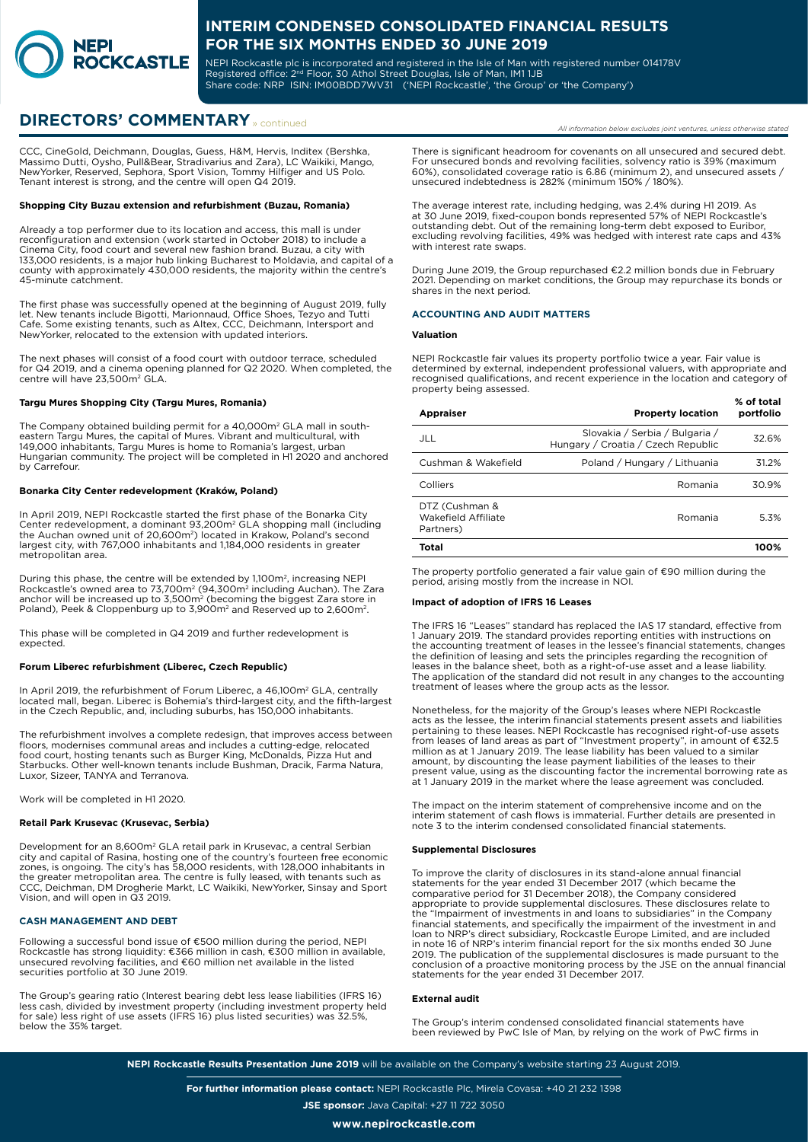

NEPI Rockcastle plc is incorporated and registered in the Isle of Man with registered number 014178V Registered office: 2<sup>nd</sup> Floor, 30 Athol Street Douglas, Isle of Man, IM1 1JB Share code: NRP ISIN: IM00BDD7WV31 ('NEPI Rockcastle', 'the Group' or 'the Company')

# **DIRECTORS' COMMENTARY** » continued

CCC, CineGold, Deichmann, Douglas, Guess, H&M, Hervis, Inditex (Bershka, Massimo Dutti, Oysho, Pull&Bear, Stradivarius and Zara), LC Waikiki, Mango, NewYorker, Reserved, Sephora, Sport Vision, Tommy Hilfiger and US Polo. Tenant interest is strong, and the centre will open Q4 2019.

### **Shopping City Buzau extension and refurbishment (Buzau, Romania)**

Already a top performer due to its location and access, this mall is under reconfiguration and extension (work started in October 2018) to include a Cinema City, food court and several new fashion brand. Buzau, a city with 133,000 residents, is a major hub linking Bucharest to Moldavia, and capital of a county with approximately 430,000 residents, the majority within the centre's 45-minute catchment.

The first phase was successfully opened at the beginning of August 2019, fully let. New tenants include Bigotti, Marionnaud, Office Shoes, Tezyo and Tutti Cafe. Some existing tenants, such as Altex, CCC, Deichmann, Intersport and NewYorker, relocated to the extension with updated interiors.

The next phases will consist of a food court with outdoor terrace, scheduled for Q4 2019, and a cinema opening planned for Q2 2020. When completed, the centre will have 23,500m<sup>2</sup> GLA.

#### **Targu Mures Shopping City (Targu Mures, Romania)**

The Company obtained building permit for a 40,000m<sup>2</sup> GLA mall in southeastern Targu Mures, the capital of Mures. Vibrant and multicultural, with 149,000 inhabitants, Targu Mures is home to Romania's largest, urban Hungarian community. The project will be completed in H1 2020 and anchored by Carrefour.

#### **Bonarka City Center redevelopment (Kraków, Poland)**

In April 2019, NEPI Rockcastle started the first phase of the Bonarka City Center redevelopment, a dominant 93,200m<sup>2</sup> GLA shopping mall (including<br>the Auchan owned unit of 20,600m<sup>2</sup>) located in Krakow, Poland's second<br>largest city, with 767,000 inhabitants and 1,184,000 residents in greater metropolitan area.

During this phase, the centre will be extended by 1,100m², increasing NEPI<br>Rockcastle's owned area to 73,700m² (94,300m² including Auchan). The Zara<br>anchor will be increased up to 3,500m² (becoming the biggest Zara store i

This phase will be completed in Q4 2019 and further redevelopment is expected.

### **Forum Liberec refurbishment (Liberec, Czech Republic)**

In April 2019, the refurbishment of Forum Liberec, a 46,100m² GLA, centrally<br>located mall, began. Liberec is Bohemia's third-largest city, and the fifth-largest<br>in the Czech Republic, and, including suburbs, has 150,000 in

The refurbishment involves a complete redesign, that improves access between floors, modernises communal areas and includes a cutting-edge, relocated food court, hosting tenants such as Burger King, McDonalds, Pizza Hut and Starbucks. Other well-known tenants include Bushman, Dracik, Farma Natura, Luxor, Sizeer, TANYA and Terranova.

Work will be completed in H1 2020.

#### **Retail Park Krusevac (Krusevac, Serbia)**

Development for an 8,600m² GLA retail park in Krusevac, a central Serbian<br>city and capital of Rasina, hosting one of the country's fourteen free economic<br>zones, is ongoing. The city's has 58,000 residents, with 128,000 inh the greater metropolitan area. The centre is fully leased, with tenants such as CCC, Deichman, DM Drogherie Markt, LC Waikiki, NewYorker, Sinsay and Sport Vision, and will open in Q3 2019.

#### **CASH MANAGEMENT AND DEBT**

Following a successful bond issue of €500 million during the period, NEPI Rockcastle has strong liquidity: €366 million in cash, €300 million in available, unsecured revolving facilities, and €60 million net available in the listed securities portfolio at 30 June 2019.

The Group's gearing ratio (Interest bearing debt less lease liabilities (IFRS 16) less cash, divided by investment property (including investment property held for sale) less right of use assets (IFRS 16) plus listed securities) was 32.5%, below the 35% target.

**% of total** 

There is significant headroom for covenants on all unsecured and secured debt. For unsecured bonds and revolving facilities, solvency ratio is 39% (maximum 60%), consolidated coverage ratio is 6.86 (minimum 2), and unsecured assets / unsecured indebtedness is 282% (minimum 150% / 180%).

The average interest rate, including hedging, was 2.4% during H1 2019. As at 30 June 2019, fixed-coupon bonds represented 57% of NEPI Rockcastle's outstanding debt. Out of the remaining long-term debt exposed to Euribor, excluding revolving facilities, 49% was hedged with interest rate caps and 43% with interest rate swaps.

During June 2019, the Group repurchased €2.2 million bonds due in February 2021. Depending on market conditions, the Group may repurchase its bonds or shares in the next period.

### **ACCOUNTING AND AUDIT MATTERS**

### **Valuation**

NEPI Rockcastle fair values its property portfolio twice a year. Fair value is determined by external, independent professional valuers, with appropriate and recognised qualifications, and recent experience in the location and category of property being assessed.

| <b>Appraiser</b>                                   | <b>Property location</b>                                             | % or total<br>portfolio |
|----------------------------------------------------|----------------------------------------------------------------------|-------------------------|
| JLL                                                | Slovakia / Serbia / Bulgaria /<br>Hungary / Croatia / Czech Republic | 32.6%                   |
| Cushman & Wakefield                                | Poland / Hungary / Lithuania                                         | 31.2%                   |
| Colliers                                           | Romania                                                              | 30.9%                   |
| DTZ (Cushman &<br>Wakefield Affiliate<br>Partners) | Romania                                                              | 5.3%                    |
| Total                                              |                                                                      | 100%                    |

The property portfolio generated a fair value gain of €90 million during the period, arising mostly from the increase in NOI.

### **Impact of adoption of IFRS 16 Leases**

The IFRS 16 "Leases" standard has replaced the IAS 17 standard, effective from 1 January 2019. The standard provides reporting entities with instructions on the accounting treatment of leases in the lessee's financial statements, changes the definition of leasing and sets the principles regarding the recognition of leases in the balance sheet, both as a right-of-use asset and a lease liability. The application of the standard did not result in any changes to the accounting treatment of leases where the group acts as the lessor.

Nonetheless, for the majority of the Group's leases where NEPI Rockcastle acts as the lessee, the interim financial statements present assets and liabilities pertaining to these leases. NEPI Rockcastle has recognised right-of-use assets from leases of land areas as part of "Investment property", in amount of €32.5 million as at 1 January 2019. The lease liability has been valued to a similar amount, by discounting the lease payment liabilities of the leases to their present value, using as the discounting factor the incremental borrowing rate as at 1 January 2019 in the market where the lease agreement was concluded.

The impact on the interim statement of comprehensive income and on the interim statement of cash flows is immaterial. Further details are presented in note 3 to the interim condensed consolidated financial statements.

#### **Supplemental Disclosures**

To improve the clarity of disclosures in its stand-alone annual financial statements for the year ended 31 December 2017 (which became the comparative period for 31 December 2018), the Company considered appropriate to provide supplemental disclosures. These disclosures relate to the "Impairment of investments in and loans to subsidiaries" in the Company financial statements, and specifically the impairment of the investment in and<br>loan to NRP's direct subsidiary, Rockcastle Europe Limited, and are included<br>in note 16 of NRP's interim financial report for the six months en 2019. The publication of the supplemental disclosures is made pursuant to the conclusion of a proactive monitoring process by the JSE on the annual financial statements for the year ended 31 December 2017.

## **External audit**

The Group's interim condensed consolidated financial statements have been reviewed by PwC Isle of Man, by relying on the work of PwC firms in

**NEPI Rockcastle Results Presentation June 2019** will be available on the Company's website starting 23 August 2019.

**For further information please contact:** NEPI Rockcastle Plc, Mirela Covasa: +40 21 232 1398 **JSE sponsor:** Java Capital: +27 11 722 3050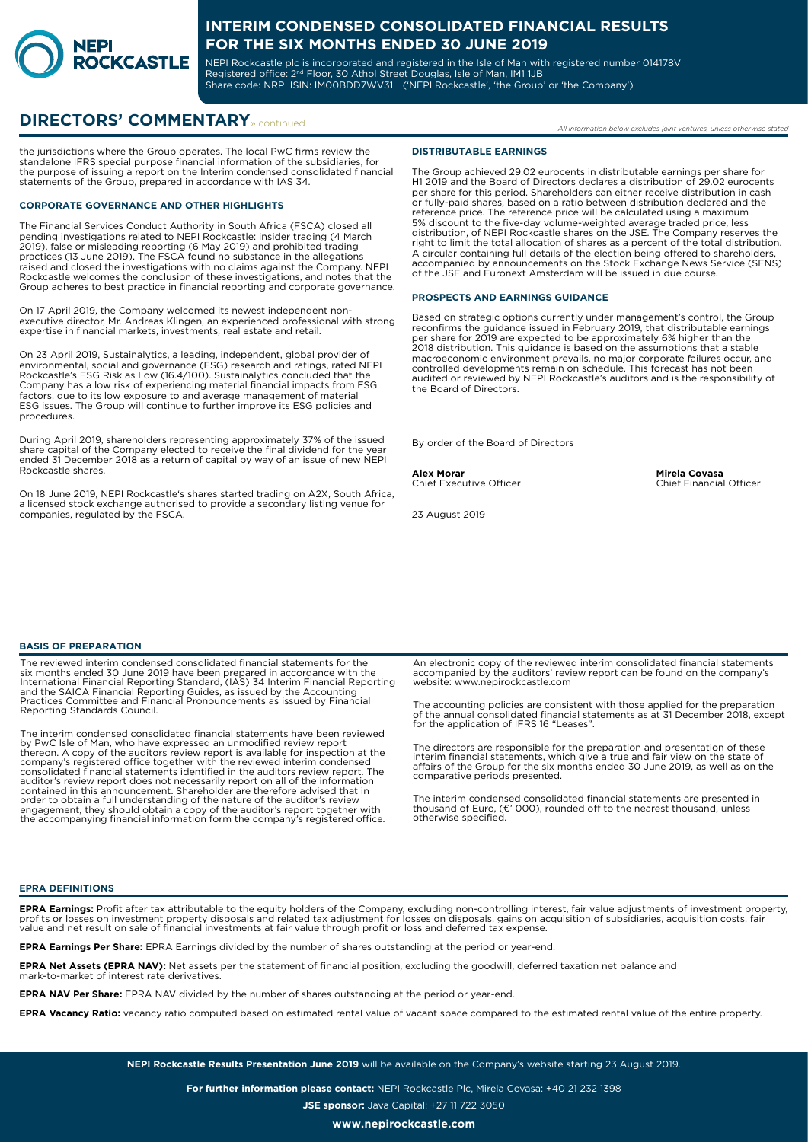

NEPI Rockcastle plc is incorporated and registered in the Isle of Man with registered number 014178V Registered office: 2<sup>nd</sup> Floor, 30 Athol Street Douglas, Isle of Man, IM1 1JB Share code: NRP ISIN: IM00BDD7WV31 ('NEPI Rockcastle', 'the Group' or 'the Company')

# **DIRECTORS' COMMENTARY** » continued

the jurisdictions where the Group operates. The local PwC firms review the standalone IFRS special purpose financial information of the subsidiaries, for the purpose of issuing a report on the Interim condensed consolidated financial statements of the Group, prepared in accordance with IAS 34.

## **CORPORATE GOVERNANCE AND OTHER HIGHLIGHTS**

The Financial Services Conduct Authority in South Africa (FSCA) closed all<br>pending investigations related to NEPI Rockcastle: insider trading (4 March<br>2019), false or misleading reporting (6 May 2019) and prohibited tradin Rockcastle welcomes the conclusion of these investigations, and notes that the Group adheres to best practice in financial reporting and corporate governance.

On 17 April 2019, the Company welcomed its newest independent non-executive director, Mr. Andreas Klingen, an experienced professional with strong expertise in financial markets, investments, real estate and retail.

On 23 April 2019, Sustainalytics, a leading, independent, global provider of environmental, social and governance (ESG) research and ratings, rated NEPI Rockcastle's ESG Risk as Low (16.4/100). Sustainalytics concluded that the Company has a low risk of experiencing material financial impacts from ESG factors, due to its low exposure to and average management of material ESG issues. The Group will continue to further improve its ESG policies and procedures.

During April 2019, shareholders representing approximately 37% of the issued share capital of the Company elected to receive the final dividend for the year ended 31 December 2018 as a return of capital by way of an issue of new NEPI Rockcastle shares.

On 18 June 2019, NEPI Rockcastle's shares started trading on A2X, South Africa, a licensed stock exchange authorised to provide a secondary listing venue for companies, regulated by the FSCA.

#### **DISTRIBUTABLE EARNINGS**

The Group achieved 29.02 eurocents in distributable earnings per share for H1 2019 and the Board of Directors declares a distribution of 29.02 eurocents<br>per share for this period. Shareholders can either receive distribution in cash<br>or fully-paid shares, based on a ratio between distribution decl reference price. The reference price will be calculated using a maximum 5% discount to the five-day volume-weighted average traded price, less distribution, of NEPI Rockcastle shares on the JSE. The Company reserves the right to limit the total allocation of shares as a percent of the total distribution. A circular containing full details of the election being offered to shareholders, accompanied by announcements on the Stock Exchange News Service (SENS) of the JSE and Euronext Amsterdam will be issued in due course.

### **PROSPECTS AND EARNINGS GUIDANCE**

Based on strategic options currently under management's control, the Group reconfirms the guidance issued in February 2019, that distributable earnings per share for 2019 are expected to be approximately 6% higher than the 2018 distribution. This guidance is based on the assumptions that a stable macroeconomic environment prevails, no major corporate failures occur, and controlled developments remain on schedule. This forecast has not been audited or reviewed by NEPI Rockcastle's auditors and is the responsibility of the Board of Directors.

By order of the Board of Directors

**Alex Morar Mirela Covasa**<br>
Chief Executive Officer **Mirela Covasa**<br>
Chief Financial Officer Chief Executive Officer

23 August 2019

### **BASIS OF PREPARATION**

The reviewed interim condensed consolidated financial statements for the six months ended 30 June 2019 have been prepared in accordance with the International Financial Reporting Standard, (IAS) 34 Interim Financial Reporting and the SAICA Financial Reporting Guides, as issued by the Accounting Practices Committee and Financial Pronouncements as issued by Financial Reporting Standards Council.

The interim condensed consolidated financial statements have been reviewed by PwC Isle of Man, who have expressed an unmodified review report thereon. A copy of the auditors review report is available for inspection at the company's registered office together with the reviewed interim condensed<br>consolidated financial statements identified in the auditors review report. The<br>auditor's review report does not necessarily report on all of the inf

An electronic copy of the reviewed interim consolidated financial statements accompanied by the auditors' review report can be found on the company's website: www.nepirockcastle.com

The accounting policies are consistent with those applied for the preparation of the annual consolidated financial statements as at 31 December 2018, except for the application of IFRS 16 "Leases".

The directors are responsible for the preparation and presentation of these interim financial statements, which give a true and fair view on the state of affairs of the Group for the six months ended 30 June 2019, as well as on the comparative periods presented.

The interim condensed consolidated financial statements are presented in thousand of Euro, (€' 000), rounded off to the nearest thousand, unless otherwise specified.

#### **EPRA DEFINITIONS**

**EPRA Earnings:** Profit after tax attributable to the equity holders of the Company, excluding non-controlling interest, fair value adjustments of investment property, profits or losses on investment property disposals and related tax adjustment for losses on disposals, gains on acquisition of subsidiaries, acquisition costs, fair<br>value and net result on sale of financial investments at

**EPRA Earnings Per Share:** EPRA Earnings divided by the number of shares outstanding at the period or year-end.

**EPRA Net Assets (EPRA NAV):** Net assets per the statement of financial position, excluding the goodwill, deferred taxation net balance and mark-to-market of interest rate derivatives.

**EPRA NAV Per Share:** EPRA NAV divided by the number of shares outstanding at the period or year-end.

**EPRA Vacancy Ratio:** vacancy ratio computed based on estimated rental value of vacant space compared to the estimated rental value of the entire property.

**NEPI Rockcastle Results Presentation June 2019** will be available on the Company's website starting 23 August 2019.

**For further information please contact:** NEPI Rockcastle Plc, Mirela Covasa: +40 21 232 1398 **JSE sponsor:** Java Capital: +27 11 722 3050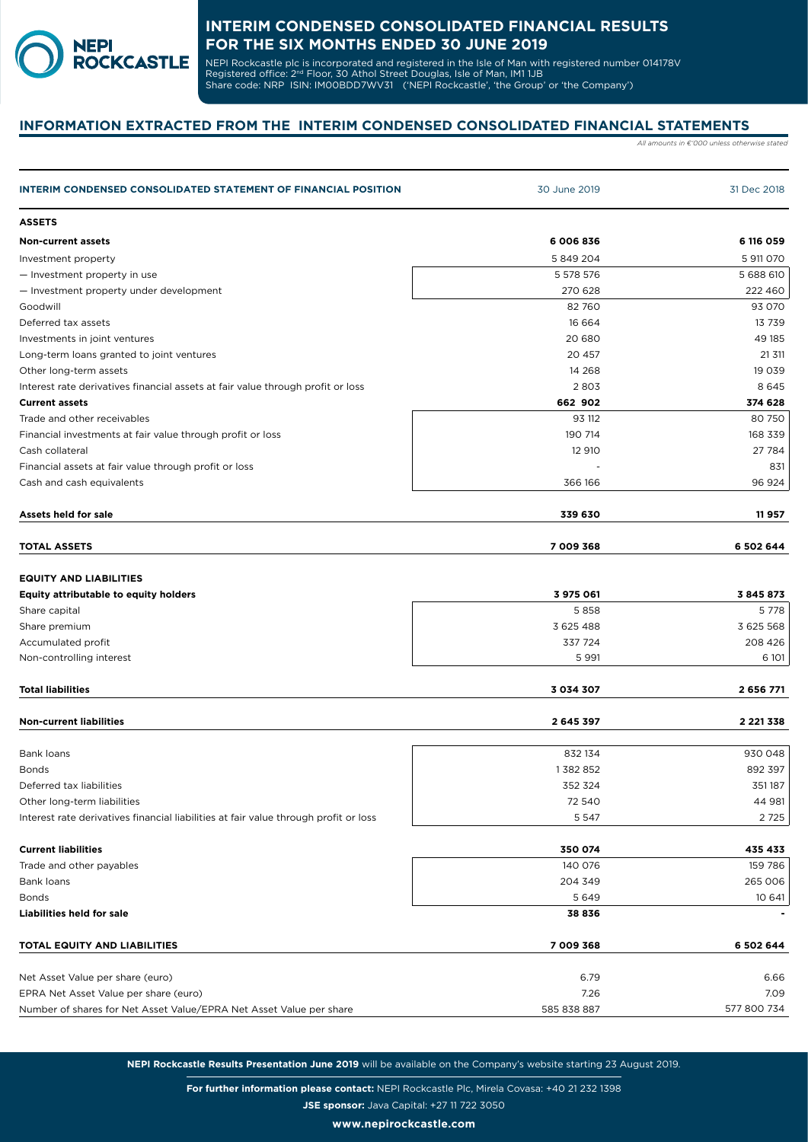

NEPI Rockcastle plc is incorporated and registered in the Isle of Man with registered number 014178V Registered office: 2<sup>nd</sup> Floor, 30 Athol Street Douglas, Isle of Man, IM1 1JB Share code: NRP ISIN: IM00BDD7WV31 ('NEPI Rockcastle', 'the Group' or 'the Company')

# **INFORMATION EXTRACTED FROM THE INTERIM CONDENSED CONSOLIDATED FINANCIAL STATEMENTS**

*All amounts in €'000 unless otherwise stated*

| <b>INTERIM CONDENSED CONSOLIDATED STATEMENT OF FINANCIAL POSITION</b>                | 30 June 2019  | 31 Dec 2018   |
|--------------------------------------------------------------------------------------|---------------|---------------|
| <b>ASSETS</b>                                                                        |               |               |
| <b>Non-current assets</b>                                                            | 6 006 836     | 6 116 059     |
| Investment property                                                                  | 5849204       | 5 911 070     |
| - Investment property in use                                                         | 5 578 576     | 5 688 610     |
| - Investment property under development                                              | 270 628       | 222 460       |
| Goodwill                                                                             | 82 760        | 93 070        |
| Deferred tax assets                                                                  | 16 664        | 13739         |
| Investments in joint ventures                                                        | 20 680        | 49 185        |
| Long-term loans granted to joint ventures                                            | 20 457        | 21 311        |
| Other long-term assets                                                               | 14 2 68       | 19 039        |
| Interest rate derivatives financial assets at fair value through profit or loss      | 2803          | 8645          |
| <b>Current assets</b>                                                                | 662 902       | 374 628       |
| Trade and other receivables                                                          | 93 112        | 80750         |
| Financial investments at fair value through profit or loss                           | 190 714       | 168 339       |
| Cash collateral                                                                      | 12 910        | 27 784        |
| Financial assets at fair value through profit or loss                                |               | 831           |
| Cash and cash equivalents                                                            | 366 166       | 96 924        |
| Assets held for sale                                                                 | 339 630       | 11957         |
| <b>TOTAL ASSETS</b>                                                                  | 7 009 368     | 6 502 644     |
| <b>EQUITY AND LIABILITIES</b><br><b>Equity attributable to equity holders</b>        | 3 975 061     | 3845873       |
| Share capital                                                                        | 5858          | 5778          |
| Share premium                                                                        | 3 625 488     | 3 625 568     |
| Accumulated profit                                                                   | 337 724       | 208 426       |
| Non-controlling interest                                                             | 5 9 9 1       | 6 101         |
| <b>Total liabilities</b>                                                             | 3 0 3 4 3 0 7 | 2 656 771     |
| <b>Non-current liabilities</b>                                                       | 2 645 397     | 2 2 2 1 3 3 8 |
| <b>Bank loans</b>                                                                    | 832 134       | 930 048       |
| <b>Bonds</b>                                                                         | 1382852       | 892 397       |
| Deferred tax liabilities                                                             | 352 324       | 351187        |
| Other long-term liabilities                                                          | 72 540        | 44 981        |
| Interest rate derivatives financial liabilities at fair value through profit or loss | 5 5 4 7       | 2725          |
|                                                                                      |               |               |
| <b>Current liabilities</b>                                                           | 350 074       | 435 433       |
| Trade and other payables                                                             | 140 076       | 159 786       |
| Bank loans                                                                           | 204 349       | 265 006       |
| <b>Bonds</b>                                                                         | 5649          | 10 641        |
| <b>Liabilities held for sale</b>                                                     | 38 836        |               |
| TOTAL EQUITY AND LIABILITIES                                                         | 7 009 368     | 6 502 644     |
| Net Asset Value per share (euro)                                                     | 6.79          | 6.66          |
|                                                                                      |               |               |
| EPRA Net Asset Value per share (euro)                                                | 7.26          | 7.09          |

**NEPI Rockcastle Results Presentation June 2019** will be available on the Company's website starting 23 August 2019.

**For further information please contact:** NEPI Rockcastle Plc, Mirela Covasa: +40 21 232 1398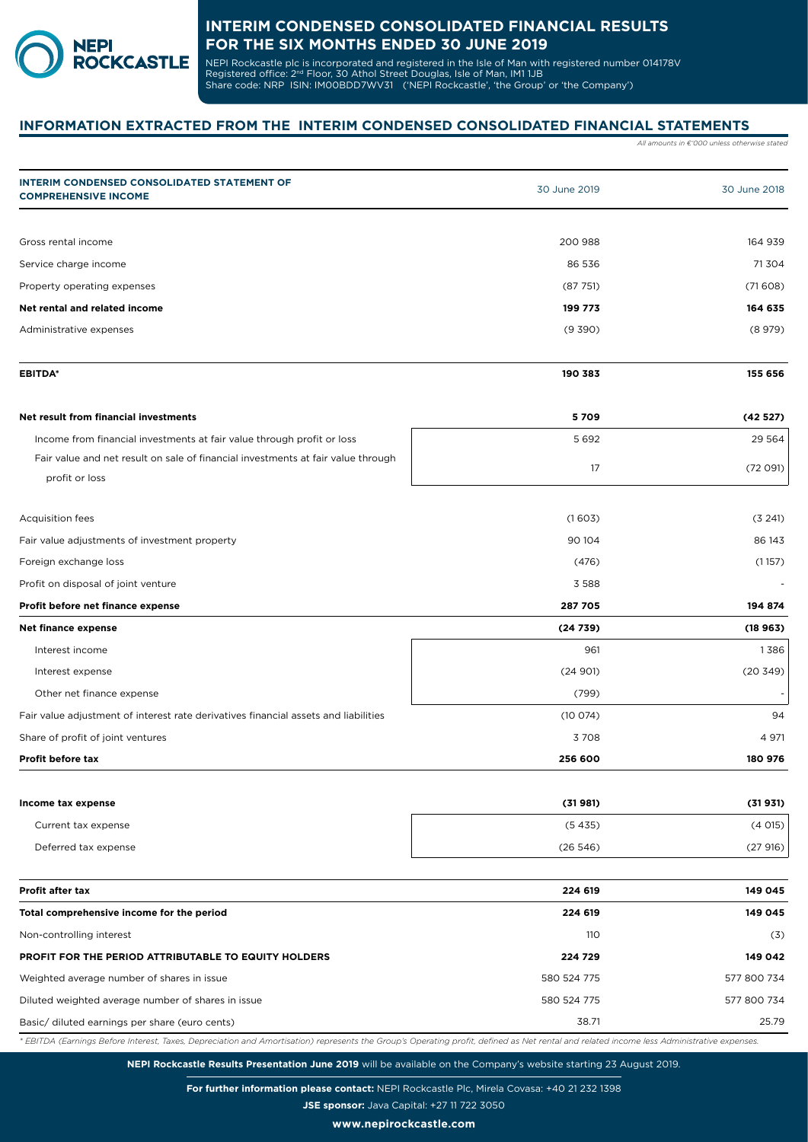

NEPI Rockcastle plc is incorporated and registered in the Isle of Man with registered number 014178V Registered office: 2<sup>nd</sup> Floor, 30 Athol Street Douglas, Isle of Man, IM1 1JB Share code: NRP ISIN: IM00BDD7WV31 ('NEPI Rockcastle', 'the Group' or 'the Company')

# **INFORMATION EXTRACTED FROM THE INTERIM CONDENSED CONSOLIDATED FINANCIAL STATEMENTS**

*All amounts in €'000 unless otherwise stated*

| <b>INTERIM CONDENSED CONSOLIDATED STATEMENT OF</b><br><b>COMPREHENSIVE INCOME</b>                                                                                                         | 30 June 2019 | 30 June 2018 |
|-------------------------------------------------------------------------------------------------------------------------------------------------------------------------------------------|--------------|--------------|
|                                                                                                                                                                                           |              |              |
| Gross rental income                                                                                                                                                                       | 200 988      | 164 939      |
| Service charge income                                                                                                                                                                     | 86 536       | 71 304       |
| Property operating expenses                                                                                                                                                               | (87751)      | (71608)      |
| Net rental and related income                                                                                                                                                             | 199 773      | 164 635      |
| Administrative expenses                                                                                                                                                                   | (9 390)      | (8979)       |
| <b>EBITDA*</b>                                                                                                                                                                            | 190 383      | 155 656      |
| Net result from financial investments                                                                                                                                                     | 5709         | (42527)      |
| Income from financial investments at fair value through profit or loss                                                                                                                    | 5692         | 29 5 64      |
| Fair value and net result on sale of financial investments at fair value through<br>profit or loss                                                                                        | 17           | (72 091)     |
| Acquisition fees                                                                                                                                                                          | (1603)       | (3 241)      |
| Fair value adjustments of investment property                                                                                                                                             | 90 104       | 86 143       |
| Foreign exchange loss                                                                                                                                                                     | (476)        | (1157)       |
| Profit on disposal of joint venture                                                                                                                                                       | 3 5 8 8      |              |
| Profit before net finance expense                                                                                                                                                         | 287 705      | 194 874      |
| <b>Net finance expense</b>                                                                                                                                                                | (24739)      | (18963)      |
| Interest income                                                                                                                                                                           | 961          | 1386         |
| Interest expense                                                                                                                                                                          | (24901)      | (20 349)     |
| Other net finance expense                                                                                                                                                                 | (799)        |              |
| Fair value adjustment of interest rate derivatives financial assets and liabilities                                                                                                       | (10074)      | 94           |
| Share of profit of joint ventures                                                                                                                                                         | 3708         | 4 971        |
| Profit before tax                                                                                                                                                                         | 256 600      | 180 976      |
| Income tax expense                                                                                                                                                                        | (31981)      | (31931)      |
| Current tax expense                                                                                                                                                                       | (5435)       | (4015)       |
| Deferred tax expense                                                                                                                                                                      | (26546)      | (27916)      |
| <b>Profit after tax</b>                                                                                                                                                                   | 224 619      | 149 045      |
| Total comprehensive income for the period                                                                                                                                                 | 224 619      | 149 045      |
| Non-controlling interest                                                                                                                                                                  | 110          | (3)          |
| PROFIT FOR THE PERIOD ATTRIBUTABLE TO EQUITY HOLDERS                                                                                                                                      | 224 729      | 149 042      |
| Weighted average number of shares in issue                                                                                                                                                | 580 524 775  | 577 800 734  |
| Diluted weighted average number of shares in issue                                                                                                                                        | 580 524 775  | 577 800 734  |
| Basic/ diluted earnings per share (euro cents)                                                                                                                                            | 38.71        | 25.79        |
| * EBITDA (Earnings Before Interest, Taxes, Depreciation and Amortisation) represents the Group's Operating profit, defined as Net rental and related income less Administrative expenses. |              |              |

**For further information please contact:** NEPI Rockcastle Plc, Mirela Covasa: +40 21 232 1398

**JSE sponsor:** Java Capital: +27 11 722 3050

**www.nepirockcastle.com**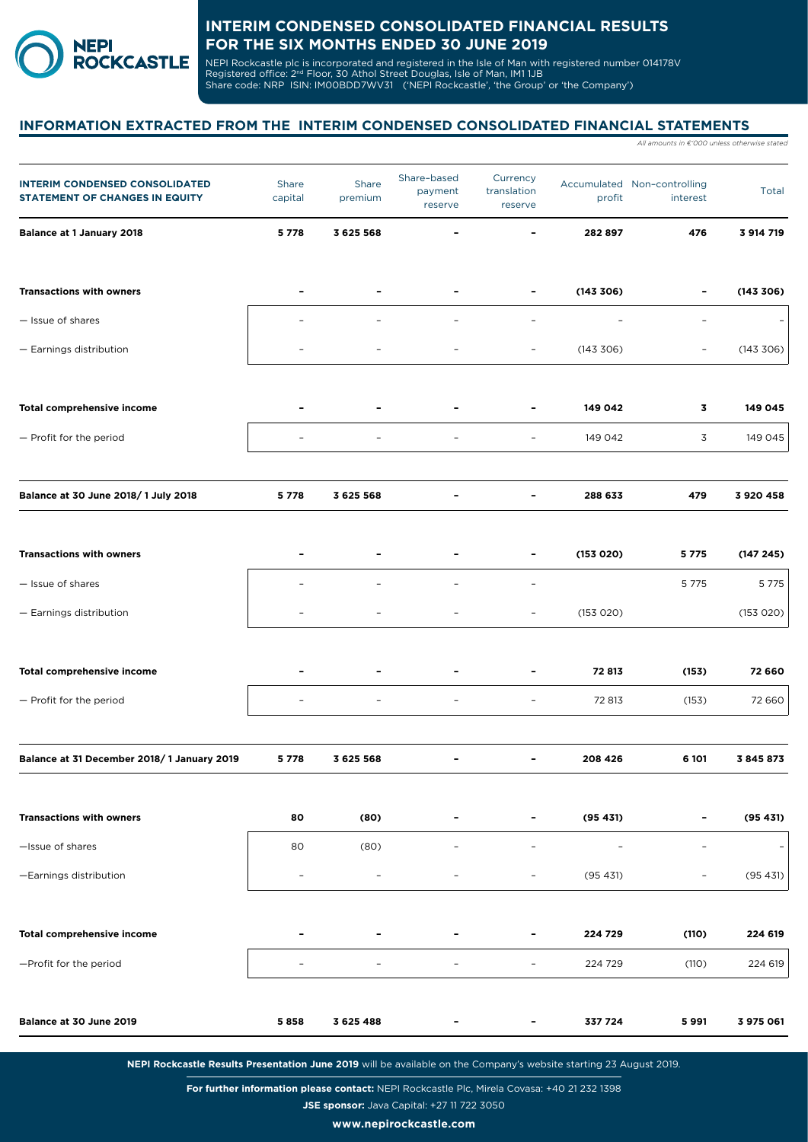

NEPI Rockcastle plc is incorporated and registered in the Isle of Man with registered number 014178V Registered office: 2<sup>nd</sup> Floor, 30 Athol Street Douglas, Isle of Man, IM1 1JB Share code: NRP ISIN: IM00BDD7WV31 ('NEPI Rockcastle', 'the Group' or 'the Company')

# **INFORMATION EXTRACTED FROM THE INTERIM CONDENSED CONSOLIDATED FINANCIAL STATEMENTS**

|                          |                  |                                   |                                    |           | All amounts in €'000 unless otherwise stated |                             |
|--------------------------|------------------|-----------------------------------|------------------------------------|-----------|----------------------------------------------|-----------------------------|
| Share<br>capital         | Share<br>premium | Share-based<br>payment<br>reserve | Currency<br>translation<br>reserve | profit    | interest                                     | Total                       |
| 5778                     | 3 6 2 5 5 6 8    |                                   |                                    | 282 897   | 476                                          | 3 914 719                   |
|                          |                  |                                   |                                    | (143306)  |                                              | (143 306)                   |
|                          |                  |                                   | $\overline{\phantom{a}}$           |           |                                              |                             |
|                          |                  |                                   | $\overline{\phantom{a}}$           | (143 306) |                                              | (143 306)                   |
|                          |                  |                                   |                                    | 149 042   | 3                                            | 149 045                     |
|                          |                  |                                   | $\overline{\phantom{0}}$           | 149 042   | 3                                            | 149 045                     |
| 5778                     | 3 625 568        |                                   |                                    | 288 633   | 479                                          | 3920458                     |
|                          |                  |                                   |                                    |           |                                              |                             |
| $\overline{\phantom{a}}$ |                  |                                   |                                    | (153 020) | 5775                                         | (147245)                    |
|                          |                  |                                   | $\overline{\phantom{0}}$           |           | 5 7 7 5                                      | 5 7 7 5                     |
|                          |                  | $\overline{\phantom{a}}$          | $\overline{\phantom{a}}$           | (153 020) |                                              | (153 020)                   |
|                          |                  |                                   |                                    | 72813     | (153)                                        | 72 660                      |
|                          |                  |                                   | $\overline{\phantom{a}}$           | 72 813    | (153)                                        | 72 660                      |
| 5778                     | 3 625 568        |                                   |                                    | 208 426   | 6 101                                        | 3845873                     |
| 80                       | (80)             |                                   |                                    | (95 431)  |                                              | (95 431)                    |
| 80                       | (80)             |                                   |                                    |           |                                              |                             |
| $\overline{\phantom{a}}$ |                  |                                   |                                    | (95 431)  | $\overline{\phantom{0}}$                     | (95 431)                    |
|                          |                  |                                   |                                    | 224 729   | (110)                                        | 224 619                     |
|                          | $\overline{a}$   | $\overline{\phantom{a}}$          | $\overline{\phantom{a}}$           | 224 729   | (110)                                        | 224 619                     |
| 5858                     | 3 625 488        |                                   |                                    | 337 724   | 5991                                         | 3 975 061                   |
|                          |                  |                                   |                                    |           |                                              | Accumulated Non-controlling |

**NEPI Rockcastle Results Presentation June 2019** will be available on the Company's website starting 23 August 2019.

**For further information please contact:** NEPI Rockcastle Plc, Mirela Covasa: +40 21 232 1398

**JSE sponsor:** Java Capital: +27 11 722 3050

**www.nepirockcastle.com**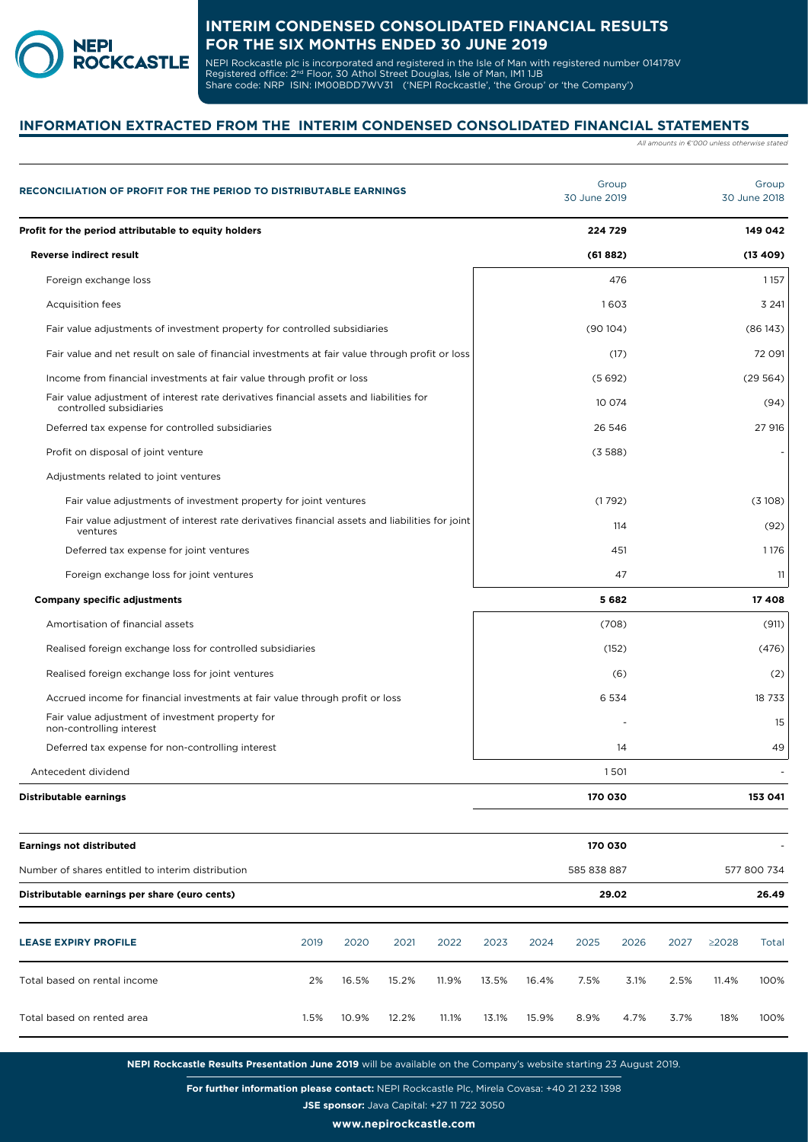

NEPI Rockcastle plc is incorporated and registered in the Isle of Man with registered number 014178V Registered office: 2<sup>nd</sup> Floor, 30 Athol Street Douglas, Isle of Man, IM1 1JB Share code: NRP ISIN: IM00BDD7WV31 ('NEPI Rockcastle', 'the Group' or 'the Company')

# **INFORMATION EXTRACTED FROM THE INTERIM CONDENSED CONSOLIDATED FINANCIAL STATEMENTS**

*All amounts in €'000 unless otherwise stated*

| RECONCILIATION OF PROFIT FOR THE PERIOD TO DISTRIBUTABLE EARNINGS                                                  | Group<br>30 June 2019        | Group<br>30 June 2018        |
|--------------------------------------------------------------------------------------------------------------------|------------------------------|------------------------------|
| Profit for the period attributable to equity holders                                                               | 224 729                      | 149 042                      |
| <b>Reverse indirect result</b>                                                                                     | (61882)                      | (13, 409)                    |
| Foreign exchange loss                                                                                              | 476                          | 1157                         |
| <b>Acquisition fees</b>                                                                                            | 1603                         | 3 2 4 1                      |
| Fair value adjustments of investment property for controlled subsidiaries                                          | (90104)                      | (86143)                      |
| Fair value and net result on sale of financial investments at fair value through profit or loss                    | (17)                         | 72 091                       |
| Income from financial investments at fair value through profit or loss                                             | (5692)                       | (29564)                      |
| Fair value adjustment of interest rate derivatives financial assets and liabilities for<br>controlled subsidiaries | 10 074                       | (94)                         |
| Deferred tax expense for controlled subsidiaries                                                                   | 26 546                       | 27 916                       |
| Profit on disposal of joint venture                                                                                | (3588)                       |                              |
| Adjustments related to joint ventures                                                                              |                              |                              |
| Fair value adjustments of investment property for joint ventures                                                   | (1792)                       | (3108)                       |
| Fair value adjustment of interest rate derivatives financial assets and liabilities for joint<br>ventures          | 114                          | (92)                         |
| Deferred tax expense for joint ventures                                                                            | 451                          | 1176                         |
| Foreign exchange loss for joint ventures                                                                           | 47                           | 11                           |
| <b>Company specific adjustments</b>                                                                                | 5682                         | 17 408                       |
| Amortisation of financial assets                                                                                   | (708)                        | (911)                        |
| Realised foreign exchange loss for controlled subsidiaries                                                         | (152)                        | (476)                        |
| Realised foreign exchange loss for joint ventures                                                                  | (6)                          | (2)                          |
| Accrued income for financial investments at fair value through profit or loss                                      | 6 5 3 4                      | 18 733                       |
| Fair value adjustment of investment property for<br>non-controlling interest                                       |                              | 15                           |
| Deferred tax expense for non-controlling interest                                                                  | 14                           | 49                           |
| Antecedent dividend                                                                                                | 1501                         |                              |
| Distributable earnings                                                                                             | 170 030                      | 153 041                      |
| <b>Earnings not distributed</b>                                                                                    | 170 030                      |                              |
| Number of shares entitled to interim distribution                                                                  | 585 838 887                  | 577 800 734                  |
| Distributable earnings per share (euro cents)                                                                      | 29.02                        | 26.49                        |
| 2019<br>2020<br><b>LEASE EXPIRY PROFILE</b><br>2021<br>2022                                                        | 2023<br>2026<br>2024<br>2025 | 2027<br>$\geq$ 2028<br>Total |

Total based on rental income 2% 16.5% 15.2% 11.9% 13.5% 16.4% 7.5% 3.1% 2.5% 11.4% 100% Total based on rented area 1.5% 10.9% 12.2% 11.1% 13.1% 15.9% 8.9% 4.7% 3.7% 18% 100%

**NEPI Rockcastle Results Presentation June 2019** will be available on the Company's website starting 23 August 2019.

**For further information please contact:** NEPI Rockcastle Plc, Mirela Covasa: +40 21 232 1398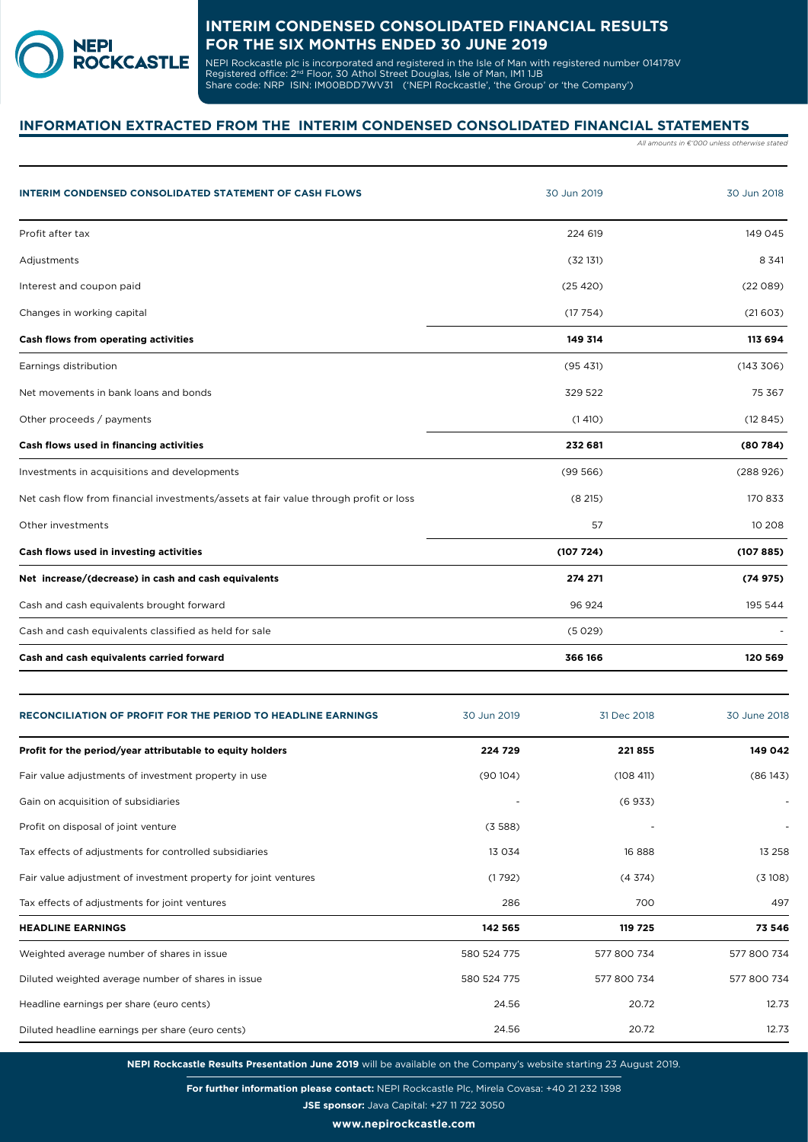

NEPI Rockcastle plc is incorporated and registered in the Isle of Man with registered number 014178V Registered office: 2<sup>nd</sup> Floor, 30 Athol Street Douglas, Isle of Man, IM1 1JB Share code: NRP ISIN: IM00BDD7WV31 ('NEPI Rockcastle', 'the Group' or 'the Company')

# **INFORMATION EXTRACTED FROM THE INTERIM CONDENSED CONSOLIDATED FINANCIAL STATEMENTS**

*All amounts in €'000 unless otherwise stated*

| <b>INTERIM CONDENSED CONSOLIDATED STATEMENT OF CASH FLOWS</b>                        | 30 Jun 2019 | 30 Jun 2018 |
|--------------------------------------------------------------------------------------|-------------|-------------|
| Profit after tax                                                                     | 224 619     | 149 045     |
| Adjustments                                                                          | (32131)     | 8 3 4 1     |
| Interest and coupon paid                                                             | (25 420)    | (22089)     |
| Changes in working capital                                                           | (17754)     | (21603)     |
| Cash flows from operating activities                                                 | 149 314     | 113 694     |
| Earnings distribution                                                                | (95 431)    | (143306)    |
| Net movements in bank loans and bonds                                                | 329 522     | 75 367      |
| Other proceeds / payments                                                            | (1410)      | (12845)     |
| Cash flows used in financing activities                                              | 232 681     | (80784)     |
| Investments in acquisitions and developments                                         | (99566)     | (288926)    |
| Net cash flow from financial investments/assets at fair value through profit or loss | (8215)      | 170833      |
| Other investments                                                                    | 57          | 10 208      |
| Cash flows used in investing activities                                              | (107724)    | (107885)    |
| Net increase/(decrease) in cash and cash equivalents                                 | 274 271     | (74975)     |
| Cash and cash equivalents brought forward                                            | 96 924      | 195 544     |
| Cash and cash equivalents classified as held for sale                                | (5029)      |             |
| Cash and cash equivalents carried forward                                            | 366 166     | 120 569     |

| <b>RECONCILIATION OF PROFIT FOR THE PERIOD TO HEADLINE EARNINGS</b> | 30 Jun 2019 | 31 Dec 2018 | 30 June 2018 |
|---------------------------------------------------------------------|-------------|-------------|--------------|
| Profit for the period/year attributable to equity holders           | 224 729     | 221855      | 149 042      |
| Fair value adjustments of investment property in use                | (90104)     | (108 411)   | (86143)      |
| Gain on acquisition of subsidiaries                                 |             | (6933)      |              |
| Profit on disposal of joint venture                                 | (3588)      |             |              |
| Tax effects of adjustments for controlled subsidiaries              | 13 0 3 4    | 16888       | 13 258       |
| Fair value adjustment of investment property for joint ventures     | (1792)      | (4374)      | (3108)       |
| Tax effects of adjustments for joint ventures                       | 286         | 700         | 497          |
| <b>HEADLINE EARNINGS</b>                                            | 142 565     | 119 725     | 73 546       |
| Weighted average number of shares in issue                          | 580 524 775 | 577 800 734 | 577 800 734  |
| Diluted weighted average number of shares in issue                  | 580 524 775 | 577 800 734 | 577 800 734  |
| Headline earnings per share (euro cents)                            | 24.56       | 20.72       | 12.73        |
| Diluted headline earnings per share (euro cents)                    | 24.56       | 20.72       | 12.73        |

**NEPI Rockcastle Results Presentation June 2019** will be available on the Company's website starting 23 August 2019.

**For further information please contact:** NEPI Rockcastle Plc, Mirela Covasa: +40 21 232 1398